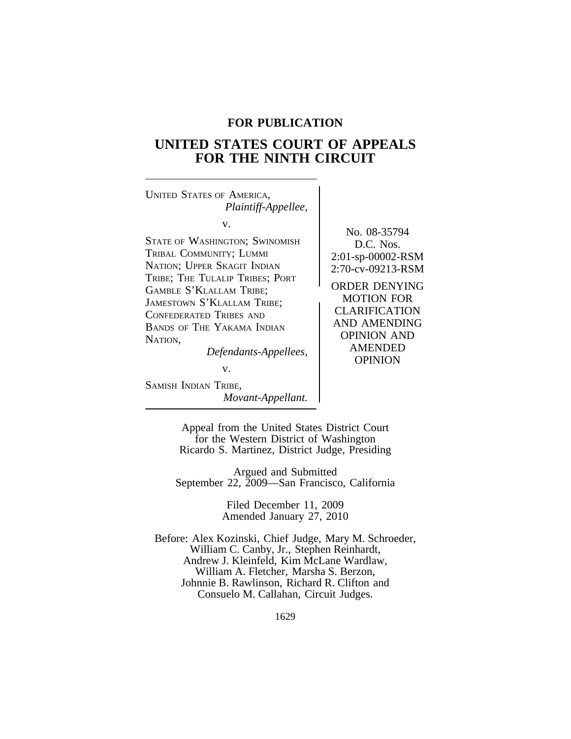# **FOR PUBLICATION**

# **UNITED STATES COURT OF APPEALS FOR THE NINTH CIRCUIT**

<sup>U</sup>NITED STATES OF AMERICA, *Plaintiff-Appellee,* v. STATE OF WASHINGTON; SWINOMISH D.C. Nos. TRIBAL COMMUNITY; LUMMI 2:01-sp-00002-RSM NATION; UPPER SKAGIT INDIAN 2:70-cv-09213-RSM TRIBE; THE TULALIP TRIBES; PORT GAMBLE S'KLALLAM TRIBE;<br>
JAMESTOWN S'KLALLAM TRIBE;<br>
CONTROL TRIBE;<br>
CLARIFICATION CONFEDERATED TRIBES AND CLARIFICATION<br>
BAND AMENDING BANDS OF THE YAKAMA INDIAN NATION,<br>
Defendants Annelloss AMENDED *Defendants-Appellees,* 

v.

SAMISH INDIAN TRIBE, *Movant-Appellant.* No. 08-35794

OPINION

Appeal from the United States District Court for the Western District of Washington Ricardo S. Martinez, District Judge, Presiding

Argued and Submitted September 22, 2009—San Francisco, California

> Filed December 11, 2009 Amended January 27, 2010

Before: Alex Kozinski, Chief Judge, Mary M. Schroeder, William C. Canby, Jr., Stephen Reinhardt, Andrew J. Kleinfeld, Kim McLane Wardlaw, William A. Fletcher, Marsha S. Berzon, Johnnie B. Rawlinson, Richard R. Clifton and Consuelo M. Callahan, Circuit Judges.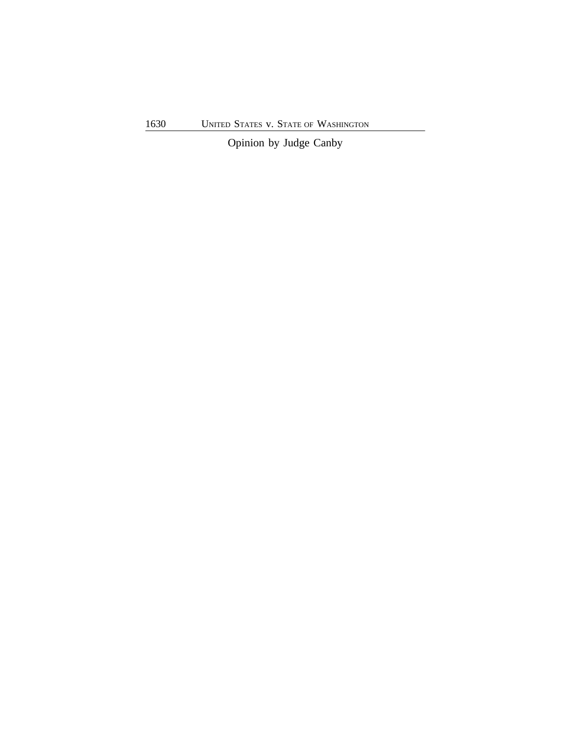Opinion by Judge Canby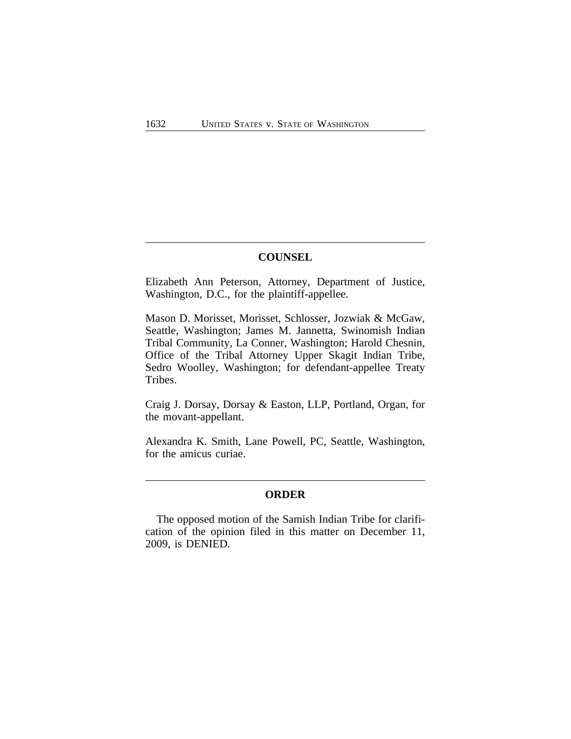# **COUNSEL**

Elizabeth Ann Peterson, Attorney, Department of Justice, Washington, D.C., for the plaintiff-appellee.

Mason D. Morisset, Morisset, Schlosser, Jozwiak & McGaw, Seattle, Washington; James M. Jannetta, Swinomish Indian Tribal Community, La Conner, Washington; Harold Chesnin, Office of the Tribal Attorney Upper Skagit Indian Tribe, Sedro Woolley, Washington; for defendant-appellee Treaty Tribes.

Craig J. Dorsay, Dorsay & Easton, LLP, Portland, Organ, for the movant-appellant.

Alexandra K. Smith, Lane Powell, PC, Seattle, Washington, for the amicus curiae.

# **ORDER**

The opposed motion of the Samish Indian Tribe for clarification of the opinion filed in this matter on December 11, 2009, is DENIED.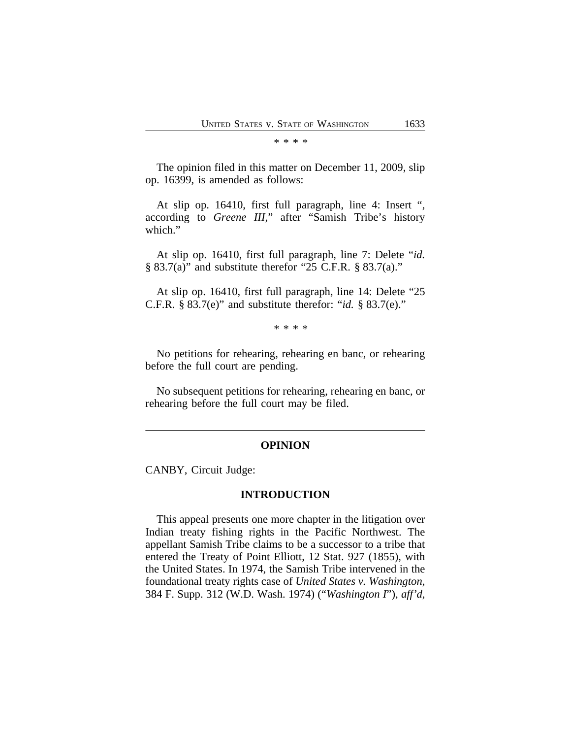\* \* \* \*

The opinion filed in this matter on December 11, 2009, slip op. 16399, is amended as follows:

At slip op. 16410, first full paragraph, line 4: Insert ", according to *Greene III*," after "Samish Tribe's history which."

At slip op. 16410, first full paragraph, line 7: Delete "*id.* § 83.7(a)" and substitute therefor "25 C.F.R. § 83.7(a)."

At slip op. 16410, first full paragraph, line 14: Delete "25 C.F.R. § 83.7(e)" and substitute therefor: "*id.* § 83.7(e)."

\* \* \* \*

No petitions for rehearing, rehearing en banc, or rehearing before the full court are pending.

No subsequent petitions for rehearing, rehearing en banc, or rehearing before the full court may be filed.

#### **OPINION**

CANBY, Circuit Judge:

#### **INTRODUCTION**

This appeal presents one more chapter in the litigation over Indian treaty fishing rights in the Pacific Northwest. The appellant Samish Tribe claims to be a successor to a tribe that entered the Treaty of Point Elliott, 12 Stat. 927 (1855), with the United States. In 1974, the Samish Tribe intervened in the foundational treaty rights case of *United States v. Washington*, 384 F. Supp. 312 (W.D. Wash. 1974) ("*Washington I*"), *aff'd*,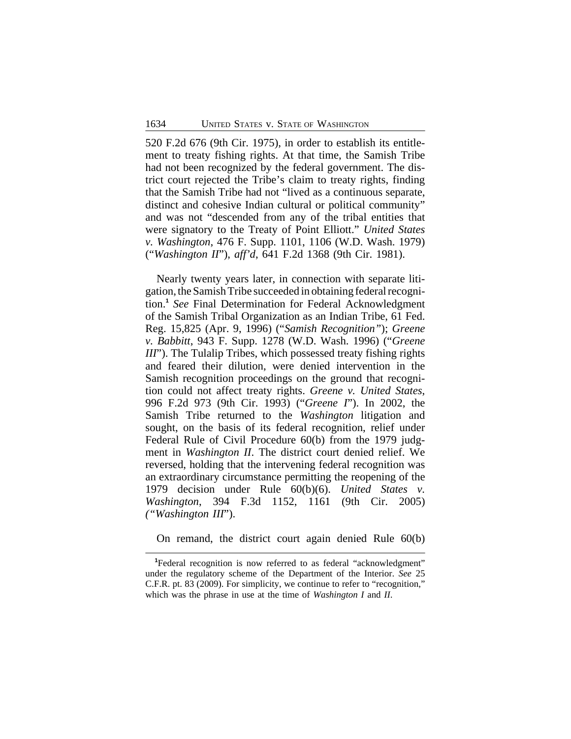520 F.2d 676 (9th Cir. 1975), in order to establish its entitlement to treaty fishing rights. At that time, the Samish Tribe had not been recognized by the federal government. The district court rejected the Tribe's claim to treaty rights, finding that the Samish Tribe had not "lived as a continuous separate, distinct and cohesive Indian cultural or political community" and was not "descended from any of the tribal entities that were signatory to the Treaty of Point Elliott." *United States v. Washington*, 476 F. Supp. 1101, 1106 (W.D. Wash. 1979) ("*Washington II*"), *aff'd*, 641 F.2d 1368 (9th Cir. 1981).

Nearly twenty years later, in connection with separate litigation, the Samish Tribe succeeded in obtaining federal recognition.**<sup>1</sup>** *See* Final Determination for Federal Acknowledgment of the Samish Tribal Organization as an Indian Tribe, 61 Fed. Reg. 15,825 (Apr. 9, 1996) ("*Samish Recognition"*); *Greene v. Babbitt*, 943 F. Supp. 1278 (W.D. Wash. 1996) ("*Greene III*"). The Tulalip Tribes, which possessed treaty fishing rights and feared their dilution, were denied intervention in the Samish recognition proceedings on the ground that recognition could not affect treaty rights. *Greene v. United States*, 996 F.2d 973 (9th Cir. 1993) ("*Greene I*"). In 2002, the Samish Tribe returned to the *Washington* litigation and sought, on the basis of its federal recognition, relief under Federal Rule of Civil Procedure 60(b) from the 1979 judgment in *Washington II*. The district court denied relief. We reversed, holding that the intervening federal recognition was an extraordinary circumstance permitting the reopening of the 1979 decision under Rule 60(b)(6). *United States v. Washington*, 394 F.3d 1152, 1161 (9th Cir. 2005) *("Washington III*").

On remand, the district court again denied Rule 60(b)

**<sup>1</sup>**Federal recognition is now referred to as federal "acknowledgment" under the regulatory scheme of the Department of the Interior. *See* 25 C.F.R. pt. 83 (2009). For simplicity, we continue to refer to "recognition," which was the phrase in use at the time of *Washington I* and *II*.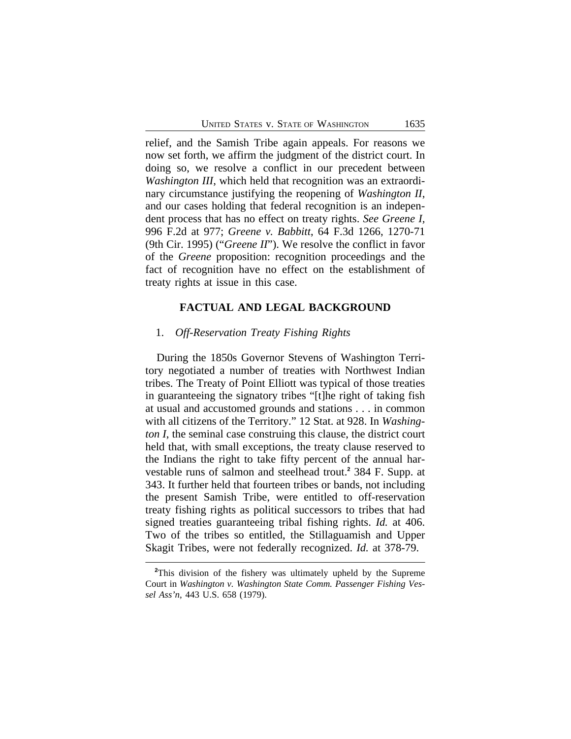relief, and the Samish Tribe again appeals. For reasons we now set forth, we affirm the judgment of the district court. In doing so, we resolve a conflict in our precedent between *Washington III*, which held that recognition was an extraordinary circumstance justifying the reopening of *Washington II*, and our cases holding that federal recognition is an independent process that has no effect on treaty rights. *See Greene I,* 996 F.2d at 977; *Greene v. Babbitt*, 64 F.3d 1266, 1270-71 (9th Cir. 1995) ("*Greene II*"). We resolve the conflict in favor of the *Greene* proposition: recognition proceedings and the fact of recognition have no effect on the establishment of treaty rights at issue in this case.

# **FACTUAL AND LEGAL BACKGROUND**

### 1. *Off-Reservation Treaty Fishing Rights*

During the 1850s Governor Stevens of Washington Territory negotiated a number of treaties with Northwest Indian tribes. The Treaty of Point Elliott was typical of those treaties in guaranteeing the signatory tribes "[t]he right of taking fish at usual and accustomed grounds and stations . . . in common with all citizens of the Territory." 12 Stat. at 928. In *Washington I*, the seminal case construing this clause, the district court held that, with small exceptions, the treaty clause reserved to the Indians the right to take fifty percent of the annual harvestable runs of salmon and steelhead trout.**<sup>2</sup>** 384 F. Supp. at 343. It further held that fourteen tribes or bands, not including the present Samish Tribe, were entitled to off-reservation treaty fishing rights as political successors to tribes that had signed treaties guaranteeing tribal fishing rights. *Id.* at 406. Two of the tribes so entitled, the Stillaguamish and Upper Skagit Tribes, were not federally recognized. *Id.* at 378-79.

**<sup>2</sup>**This division of the fishery was ultimately upheld by the Supreme Court in *Washington v. Washington State Comm. Passenger Fishing Vessel Ass'n*, 443 U.S. 658 (1979).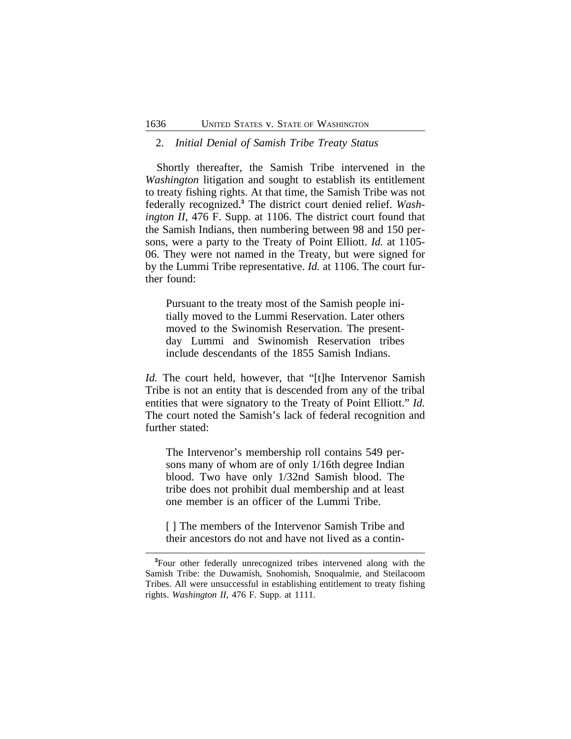#### 2. *Initial Denial of Samish Tribe Treaty Status*

Shortly thereafter, the Samish Tribe intervened in the *Washington* litigation and sought to establish its entitlement to treaty fishing rights. At that time, the Samish Tribe was not federally recognized.**<sup>3</sup>** The district court denied relief. *Washington II*, 476 F. Supp. at 1106. The district court found that the Samish Indians, then numbering between 98 and 150 persons, were a party to the Treaty of Point Elliott. *Id.* at 1105- 06. They were not named in the Treaty, but were signed for by the Lummi Tribe representative. *Id.* at 1106. The court further found:

Pursuant to the treaty most of the Samish people initially moved to the Lummi Reservation. Later others moved to the Swinomish Reservation. The presentday Lummi and Swinomish Reservation tribes include descendants of the 1855 Samish Indians.

*Id.* The court held, however, that "[t]he Intervenor Samish Tribe is not an entity that is descended from any of the tribal entities that were signatory to the Treaty of Point Elliott." *Id.* The court noted the Samish's lack of federal recognition and further stated:

The Intervenor's membership roll contains 549 persons many of whom are of only 1/16th degree Indian blood. Two have only 1/32nd Samish blood. The tribe does not prohibit dual membership and at least one member is an officer of the Lummi Tribe.

[ ] The members of the Intervenor Samish Tribe and their ancestors do not and have not lived as a contin-

**<sup>3</sup>**Four other federally unrecognized tribes intervened along with the Samish Tribe: the Duwamish, Snohomish, Snoqualmie, and Steilacoom Tribes. All were unsuccessful in establishing entitlement to treaty fishing rights. *Washington II*, 476 F. Supp. at 1111.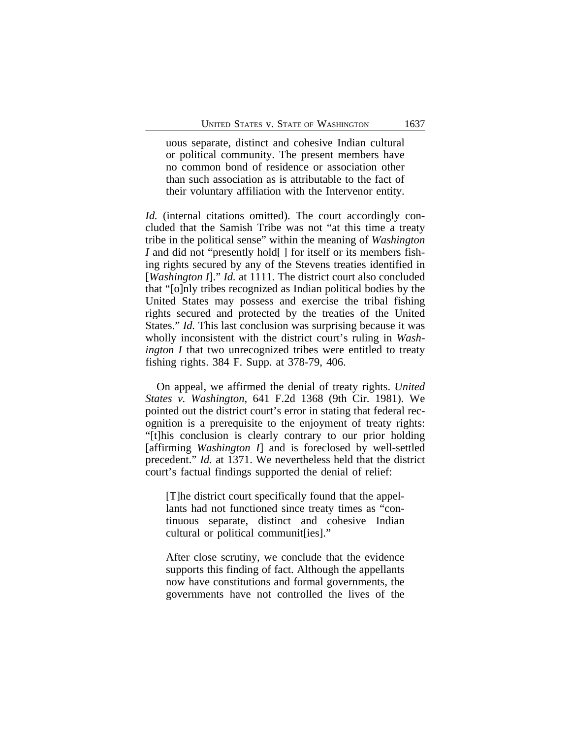uous separate, distinct and cohesive Indian cultural or political community. The present members have no common bond of residence or association other than such association as is attributable to the fact of their voluntary affiliation with the Intervenor entity.

*Id.* (internal citations omitted). The court accordingly concluded that the Samish Tribe was not "at this time a treaty tribe in the political sense" within the meaning of *Washington I* and did not "presently hold[ ] for itself or its members fishing rights secured by any of the Stevens treaties identified in [*Washington I*]." *Id.* at 1111. The district court also concluded that "[o]nly tribes recognized as Indian political bodies by the United States may possess and exercise the tribal fishing rights secured and protected by the treaties of the United States." *Id.* This last conclusion was surprising because it was wholly inconsistent with the district court's ruling in *Washington I* that two unrecognized tribes were entitled to treaty fishing rights. 384 F. Supp. at 378-79, 406.

On appeal, we affirmed the denial of treaty rights. *United States v. Washington*, 641 F.2d 1368 (9th Cir. 1981). We pointed out the district court's error in stating that federal recognition is a prerequisite to the enjoyment of treaty rights: "[t]his conclusion is clearly contrary to our prior holding [affirming *Washington I*] and is foreclosed by well-settled precedent." *Id.* at 1371. We nevertheless held that the district court's factual findings supported the denial of relief:

[T]he district court specifically found that the appellants had not functioned since treaty times as "continuous separate, distinct and cohesive Indian cultural or political communit[ies]."

After close scrutiny, we conclude that the evidence supports this finding of fact. Although the appellants now have constitutions and formal governments, the governments have not controlled the lives of the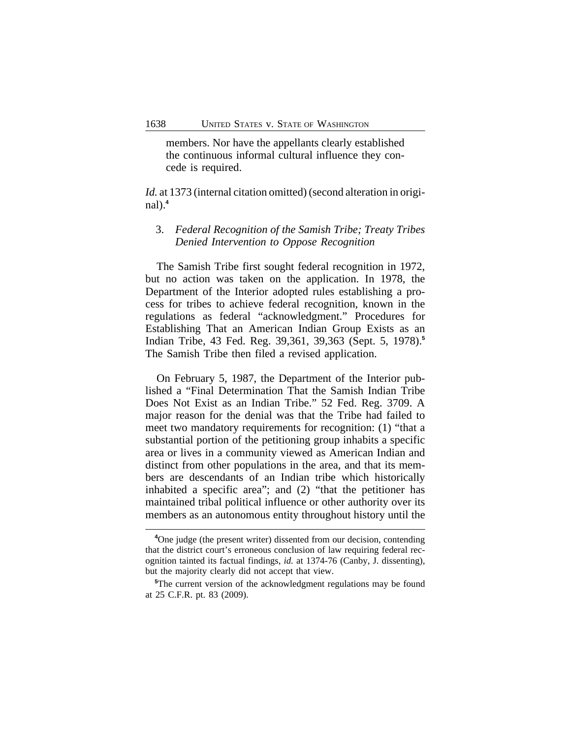members. Nor have the appellants clearly established the continuous informal cultural influence they concede is required.

*Id.* at 1373 (internal citation omitted) (second alteration in original $)$ .<sup>4</sup>

# 3. *Federal Recognition of the Samish Tribe; Treaty Tribes Denied Intervention to Oppose Recognition*

The Samish Tribe first sought federal recognition in 1972, but no action was taken on the application. In 1978, the Department of the Interior adopted rules establishing a process for tribes to achieve federal recognition, known in the regulations as federal "acknowledgment." Procedures for Establishing That an American Indian Group Exists as an Indian Tribe, 43 Fed. Reg. 39,361, 39,363 (Sept. 5, 1978).**<sup>5</sup>** The Samish Tribe then filed a revised application.

On February 5, 1987, the Department of the Interior published a "Final Determination That the Samish Indian Tribe Does Not Exist as an Indian Tribe." 52 Fed. Reg. 3709. A major reason for the denial was that the Tribe had failed to meet two mandatory requirements for recognition: (1) "that a substantial portion of the petitioning group inhabits a specific area or lives in a community viewed as American Indian and distinct from other populations in the area, and that its members are descendants of an Indian tribe which historically inhabited a specific area"; and (2) "that the petitioner has maintained tribal political influence or other authority over its members as an autonomous entity throughout history until the

**<sup>4</sup>**One judge (the present writer) dissented from our decision, contending that the district court's erroneous conclusion of law requiring federal recognition tainted its factual findings, *id.* at 1374-76 (Canby, J. dissenting), but the majority clearly did not accept that view.

**<sup>5</sup>**The current version of the acknowledgment regulations may be found at 25 C.F.R. pt. 83 (2009).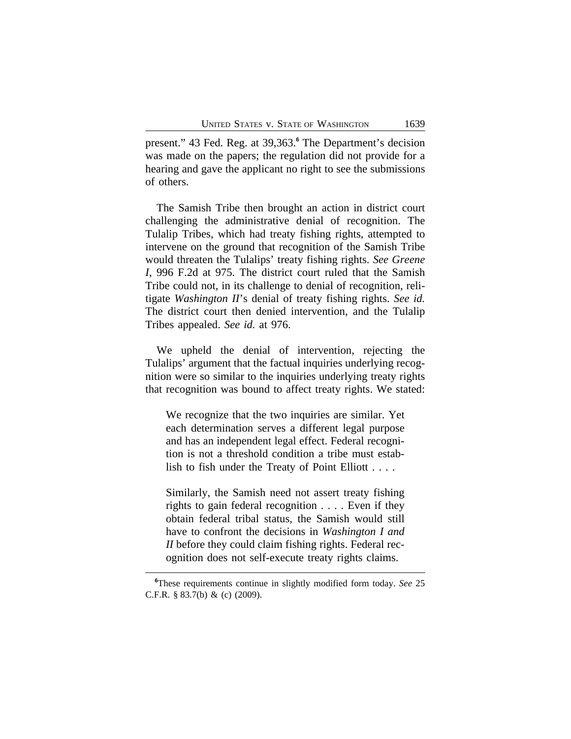present." 43 Fed. Reg. at 39,363.**<sup>6</sup>** The Department's decision was made on the papers; the regulation did not provide for a hearing and gave the applicant no right to see the submissions of others.

The Samish Tribe then brought an action in district court challenging the administrative denial of recognition. The Tulalip Tribes, which had treaty fishing rights, attempted to intervene on the ground that recognition of the Samish Tribe would threaten the Tulalips' treaty fishing rights. *See Greene I*, 996 F.2d at 975. The district court ruled that the Samish Tribe could not, in its challenge to denial of recognition, relitigate *Washington II*'s denial of treaty fishing rights. *See id.* The district court then denied intervention, and the Tulalip Tribes appealed. *See id.* at 976.

We upheld the denial of intervention, rejecting the Tulalips' argument that the factual inquiries underlying recognition were so similar to the inquiries underlying treaty rights that recognition was bound to affect treaty rights. We stated:

We recognize that the two inquiries are similar. Yet each determination serves a different legal purpose and has an independent legal effect. Federal recognition is not a threshold condition a tribe must establish to fish under the Treaty of Point Elliott . . . .

Similarly, the Samish need not assert treaty fishing rights to gain federal recognition . . . . Even if they obtain federal tribal status, the Samish would still have to confront the decisions in *Washington I and II* before they could claim fishing rights. Federal recognition does not self-execute treaty rights claims.

**<sup>6</sup>**These requirements continue in slightly modified form today. *See* 25 C.F.R. § 83.7(b) & (c) (2009).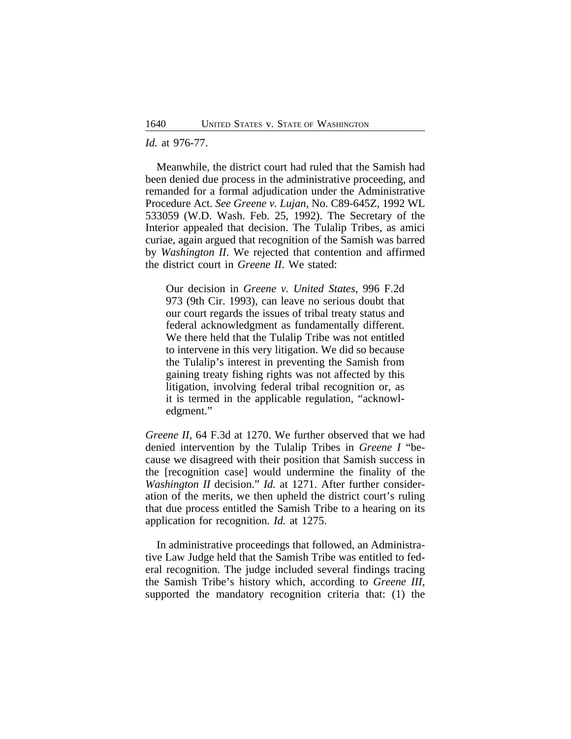#### *Id.* at 976-77.

Meanwhile, the district court had ruled that the Samish had been denied due process in the administrative proceeding, and remanded for a formal adjudication under the Administrative Procedure Act. *See Greene v. Lujan*, No. C89-645Z, 1992 WL 533059 (W.D. Wash. Feb. 25, 1992). The Secretary of the Interior appealed that decision. The Tulalip Tribes, as amici curiae, again argued that recognition of the Samish was barred by *Washington II*. We rejected that contention and affirmed the district court in *Greene II*. We stated:

Our decision in *Greene v. United States*, 996 F.2d 973 (9th Cir. 1993), can leave no serious doubt that our court regards the issues of tribal treaty status and federal acknowledgment as fundamentally different. We there held that the Tulalip Tribe was not entitled to intervene in this very litigation. We did so because the Tulalip's interest in preventing the Samish from gaining treaty fishing rights was not affected by this litigation, involving federal tribal recognition or, as it is termed in the applicable regulation, "acknowledgment."

*Greene II*, 64 F.3d at 1270. We further observed that we had denied intervention by the Tulalip Tribes in *Greene I* "because we disagreed with their position that Samish success in the [recognition case] would undermine the finality of the *Washington II* decision." *Id.* at 1271. After further consideration of the merits, we then upheld the district court's ruling that due process entitled the Samish Tribe to a hearing on its application for recognition. *Id.* at 1275.

In administrative proceedings that followed, an Administrative Law Judge held that the Samish Tribe was entitled to federal recognition. The judge included several findings tracing the Samish Tribe's history which, according to *Greene III*, supported the mandatory recognition criteria that: (1) the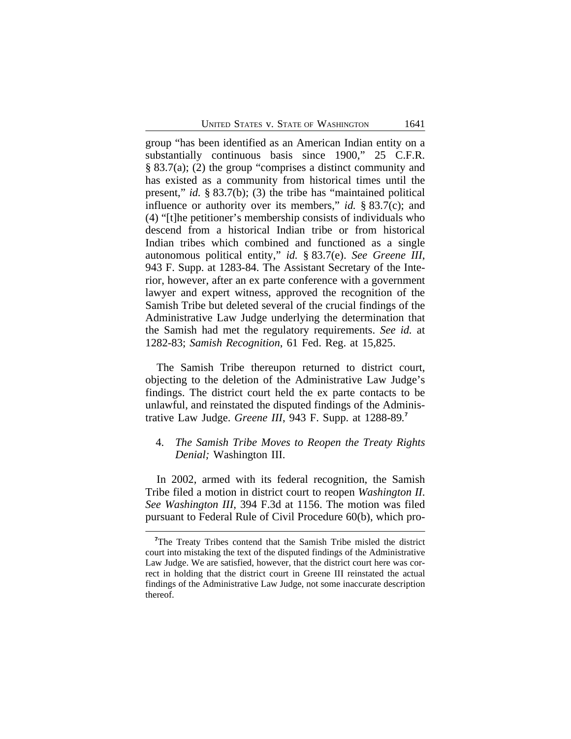group "has been identified as an American Indian entity on a substantially continuous basis since 1900," 25 C.F.R. § 83.7(a); (2) the group "comprises a distinct community and has existed as a community from historical times until the present," *id.* § 83.7(b); (3) the tribe has "maintained political influence or authority over its members," *id.* § 83.7(c); and (4) "[t]he petitioner's membership consists of individuals who descend from a historical Indian tribe or from historical Indian tribes which combined and functioned as a single autonomous political entity," *id.* § 83.7(e). *See Greene III*, 943 F. Supp. at 1283-84. The Assistant Secretary of the Interior, however, after an ex parte conference with a government lawyer and expert witness, approved the recognition of the Samish Tribe but deleted several of the crucial findings of the Administrative Law Judge underlying the determination that the Samish had met the regulatory requirements. *See id.* at 1282-83; *Samish Recognition*, 61 Fed. Reg. at 15,825.

The Samish Tribe thereupon returned to district court, objecting to the deletion of the Administrative Law Judge's findings. The district court held the ex parte contacts to be unlawful, and reinstated the disputed findings of the Administrative Law Judge. *Greene III*, 943 F. Supp. at 1288-89*.* **7**

# 4. *The Samish Tribe Moves to Reopen the Treaty Rights Denial;* Washington III.

In 2002, armed with its federal recognition, the Samish Tribe filed a motion in district court to reopen *Washington II*. *See Washington III*, 394 F.3d at 1156. The motion was filed pursuant to Federal Rule of Civil Procedure 60(b), which pro-

**<sup>7</sup>**The Treaty Tribes contend that the Samish Tribe misled the district court into mistaking the text of the disputed findings of the Administrative Law Judge. We are satisfied, however, that the district court here was correct in holding that the district court in Greene III reinstated the actual findings of the Administrative Law Judge, not some inaccurate description thereof.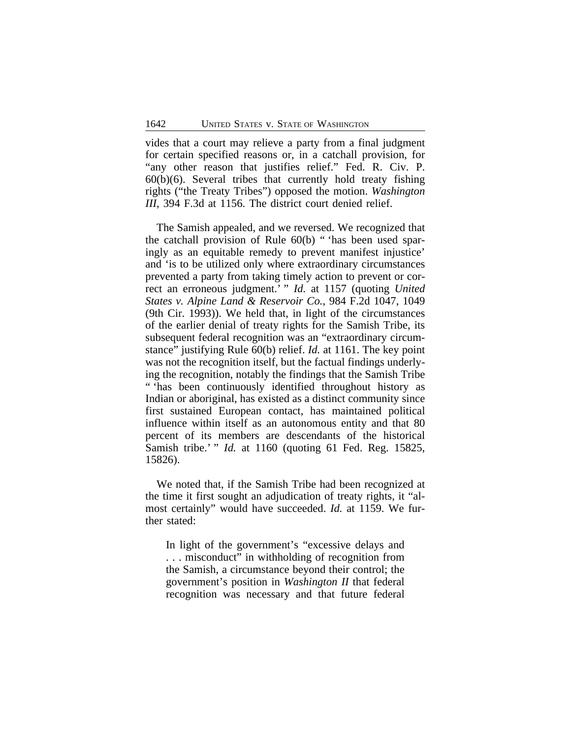vides that a court may relieve a party from a final judgment for certain specified reasons or, in a catchall provision, for "any other reason that justifies relief." Fed. R. Civ. P.  $60(b)(6)$ . Several tribes that currently hold treaty fishing rights ("the Treaty Tribes") opposed the motion. *Washington III*, 394 F.3d at 1156. The district court denied relief.

The Samish appealed, and we reversed. We recognized that the catchall provision of Rule 60(b) " 'has been used sparingly as an equitable remedy to prevent manifest injustice' and 'is to be utilized only where extraordinary circumstances prevented a party from taking timely action to prevent or correct an erroneous judgment.' " *Id.* at 1157 (quoting *United States v. Alpine Land & Reservoir Co.*, 984 F.2d 1047, 1049 (9th Cir. 1993)). We held that, in light of the circumstances of the earlier denial of treaty rights for the Samish Tribe, its subsequent federal recognition was an "extraordinary circumstance" justifying Rule 60(b) relief. *Id.* at 1161. The key point was not the recognition itself, but the factual findings underlying the recognition, notably the findings that the Samish Tribe " 'has been continuously identified throughout history as Indian or aboriginal, has existed as a distinct community since first sustained European contact, has maintained political influence within itself as an autonomous entity and that 80 percent of its members are descendants of the historical Samish tribe.' " *Id.* at 1160 (quoting 61 Fed. Reg. 15825, 15826).

We noted that, if the Samish Tribe had been recognized at the time it first sought an adjudication of treaty rights, it "almost certainly" would have succeeded. *Id.* at 1159. We further stated:

In light of the government's "excessive delays and . . . misconduct" in withholding of recognition from the Samish, a circumstance beyond their control; the government's position in *Washington II* that federal recognition was necessary and that future federal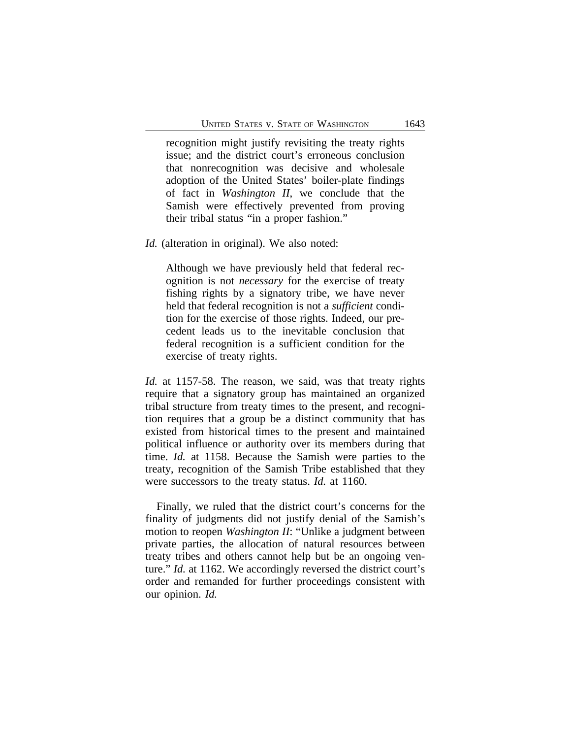recognition might justify revisiting the treaty rights issue; and the district court's erroneous conclusion that nonrecognition was decisive and wholesale adoption of the United States' boiler-plate findings of fact in *Washington II*, we conclude that the Samish were effectively prevented from proving their tribal status "in a proper fashion."

*Id.* (alteration in original). We also noted:

Although we have previously held that federal recognition is not *necessary* for the exercise of treaty fishing rights by a signatory tribe, we have never held that federal recognition is not a *sufficient* condition for the exercise of those rights. Indeed, our precedent leads us to the inevitable conclusion that federal recognition is a sufficient condition for the exercise of treaty rights.

*Id.* at 1157-58. The reason, we said, was that treaty rights require that a signatory group has maintained an organized tribal structure from treaty times to the present, and recognition requires that a group be a distinct community that has existed from historical times to the present and maintained political influence or authority over its members during that time. *Id.* at 1158. Because the Samish were parties to the treaty, recognition of the Samish Tribe established that they were successors to the treaty status. *Id.* at 1160.

Finally, we ruled that the district court's concerns for the finality of judgments did not justify denial of the Samish's motion to reopen *Washington II*: "Unlike a judgment between private parties, the allocation of natural resources between treaty tribes and others cannot help but be an ongoing venture." *Id.* at 1162. We accordingly reversed the district court's order and remanded for further proceedings consistent with our opinion. *Id.*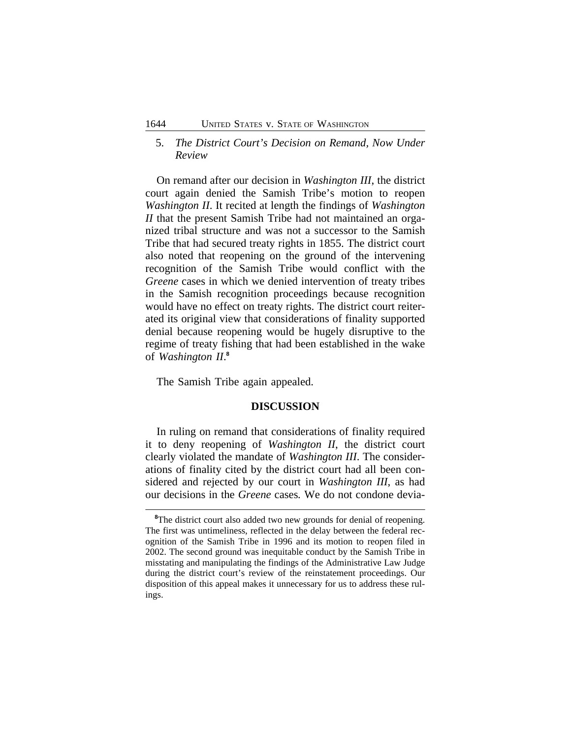## 5. *The District Court's Decision on Remand, Now Under Review*

On remand after our decision in *Washington III*, the district court again denied the Samish Tribe's motion to reopen *Washington II*. It recited at length the findings of *Washington II* that the present Samish Tribe had not maintained an organized tribal structure and was not a successor to the Samish Tribe that had secured treaty rights in 1855. The district court also noted that reopening on the ground of the intervening recognition of the Samish Tribe would conflict with the *Greene* cases in which we denied intervention of treaty tribes in the Samish recognition proceedings because recognition would have no effect on treaty rights. The district court reiterated its original view that considerations of finality supported denial because reopening would be hugely disruptive to the regime of treaty fishing that had been established in the wake of *Washington II*. **8**

The Samish Tribe again appealed.

### **DISCUSSION**

In ruling on remand that considerations of finality required it to deny reopening of *Washington II*, the district court clearly violated the mandate of *Washington III*. The considerations of finality cited by the district court had all been considered and rejected by our court in *Washington III*, as had our decisions in the *Greene* cases*.* We do not condone devia-

<sup>&</sup>lt;sup>8</sup>The district court also added two new grounds for denial of reopening. The first was untimeliness, reflected in the delay between the federal recognition of the Samish Tribe in 1996 and its motion to reopen filed in 2002. The second ground was inequitable conduct by the Samish Tribe in misstating and manipulating the findings of the Administrative Law Judge during the district court's review of the reinstatement proceedings. Our disposition of this appeal makes it unnecessary for us to address these rulings.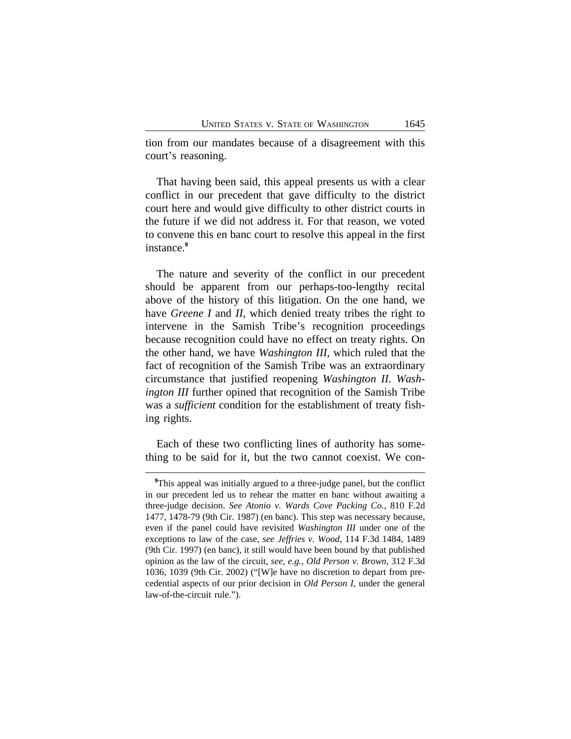tion from our mandates because of a disagreement with this court's reasoning.

That having been said, this appeal presents us with a clear conflict in our precedent that gave difficulty to the district court here and would give difficulty to other district courts in the future if we did not address it. For that reason, we voted to convene this en banc court to resolve this appeal in the first instance.**<sup>9</sup>**

The nature and severity of the conflict in our precedent should be apparent from our perhaps-too-lengthy recital above of the history of this litigation. On the one hand, we have *Greene I* and *II*, which denied treaty tribes the right to intervene in the Samish Tribe's recognition proceedings because recognition could have no effect on treaty rights. On the other hand, we have *Washington III*, which ruled that the fact of recognition of the Samish Tribe was an extraordinary circumstance that justified reopening *Washington II. Washington III* further opined that recognition of the Samish Tribe was a *sufficient* condition for the establishment of treaty fishing rights.

Each of these two conflicting lines of authority has something to be said for it, but the two cannot coexist. We con-

<sup>&</sup>lt;sup>9</sup>This appeal was initially argued to a three-judge panel, but the conflict in our precedent led us to rehear the matter en banc without awaiting a three-judge decision. *See Atonio v. Wards Cove Packing Co.*, 810 F.2d 1477, 1478-79 (9th Cir. 1987) (en banc). This step was necessary because, even if the panel could have revisited *Washington III* under one of the exceptions to law of the case, *see Jeffries v. Wood*, 114 F.3d 1484, 1489 (9th Cir. 1997) (en banc), it still would have been bound by that published opinion as the law of the circuit, *see, e.g.*, *Old Person v. Brown*, 312 F.3d 1036, 1039 (9th Cir. 2002) ("[W]e have no discretion to depart from precedential aspects of our prior decision in *Old Person I*, under the general law-of-the-circuit rule.").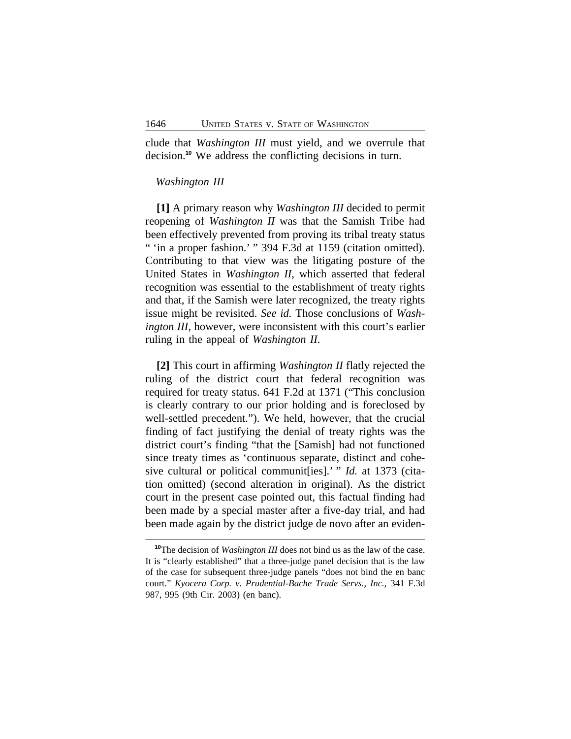clude that *Washington III* must yield, and we overrule that decision.**<sup>10</sup>** We address the conflicting decisions in turn.

### *Washington III*

**[1]** A primary reason why *Washington III* decided to permit reopening of *Washington II* was that the Samish Tribe had been effectively prevented from proving its tribal treaty status " 'in a proper fashion.' " 394 F.3d at 1159 (citation omitted). Contributing to that view was the litigating posture of the United States in *Washington II*, which asserted that federal recognition was essential to the establishment of treaty rights and that, if the Samish were later recognized, the treaty rights issue might be revisited. *See id.* Those conclusions of *Washington III*, however, were inconsistent with this court's earlier ruling in the appeal of *Washington II*.

**[2]** This court in affirming *Washington II* flatly rejected the ruling of the district court that federal recognition was required for treaty status. 641 F.2d at 1371 ("This conclusion is clearly contrary to our prior holding and is foreclosed by well-settled precedent."). We held, however, that the crucial finding of fact justifying the denial of treaty rights was the district court's finding "that the [Samish] had not functioned since treaty times as 'continuous separate, distinct and cohesive cultural or political communit[ies].' " *Id.* at 1373 (citation omitted) (second alteration in original). As the district court in the present case pointed out, this factual finding had been made by a special master after a five-day trial, and had been made again by the district judge de novo after an eviden-

**<sup>10</sup>**The decision of *Washington III* does not bind us as the law of the case. It is "clearly established" that a three-judge panel decision that is the law of the case for subsequent three-judge panels "does not bind the en banc court." *Kyocera Corp. v. Prudential-Bache Trade Servs., Inc.*, 341 F.3d 987, 995 (9th Cir. 2003) (en banc).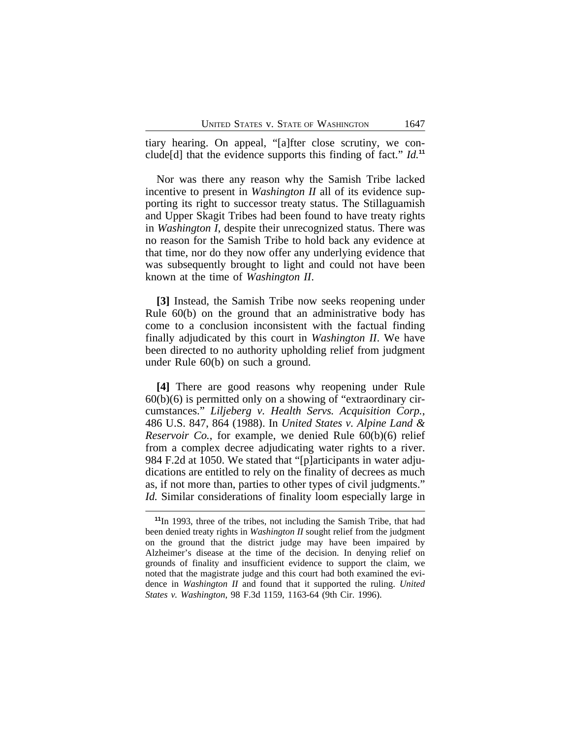tiary hearing. On appeal, "[a]fter close scrutiny, we conclude[d] that the evidence supports this finding of fact." *Id.***<sup>11</sup>**

Nor was there any reason why the Samish Tribe lacked incentive to present in *Washington II* all of its evidence supporting its right to successor treaty status. The Stillaguamish and Upper Skagit Tribes had been found to have treaty rights in *Washington I*, despite their unrecognized status. There was no reason for the Samish Tribe to hold back any evidence at that time, nor do they now offer any underlying evidence that was subsequently brought to light and could not have been known at the time of *Washington II*.

**[3]** Instead, the Samish Tribe now seeks reopening under Rule 60(b) on the ground that an administrative body has come to a conclusion inconsistent with the factual finding finally adjudicated by this court in *Washington II*. We have been directed to no authority upholding relief from judgment under Rule 60(b) on such a ground.

**[4]** There are good reasons why reopening under Rule  $60(b)(6)$  is permitted only on a showing of "extraordinary circumstances." *Liljeberg v. Health Servs. Acquisition Corp.*, 486 U.S. 847, 864 (1988). In *United States v. Alpine Land & Reservoir Co.*, for example, we denied Rule 60(b)(6) relief from a complex decree adjudicating water rights to a river. 984 F.2d at 1050. We stated that "[p]articipants in water adjudications are entitled to rely on the finality of decrees as much as, if not more than, parties to other types of civil judgments." *Id.* Similar considerations of finality loom especially large in

**<sup>11</sup>**In 1993, three of the tribes, not including the Samish Tribe, that had been denied treaty rights in *Washington II* sought relief from the judgment on the ground that the district judge may have been impaired by Alzheimer's disease at the time of the decision. In denying relief on grounds of finality and insufficient evidence to support the claim, we noted that the magistrate judge and this court had both examined the evidence in *Washington II* and found that it supported the ruling. *United States v. Washington*, 98 F.3d 1159, 1163-64 (9th Cir. 1996).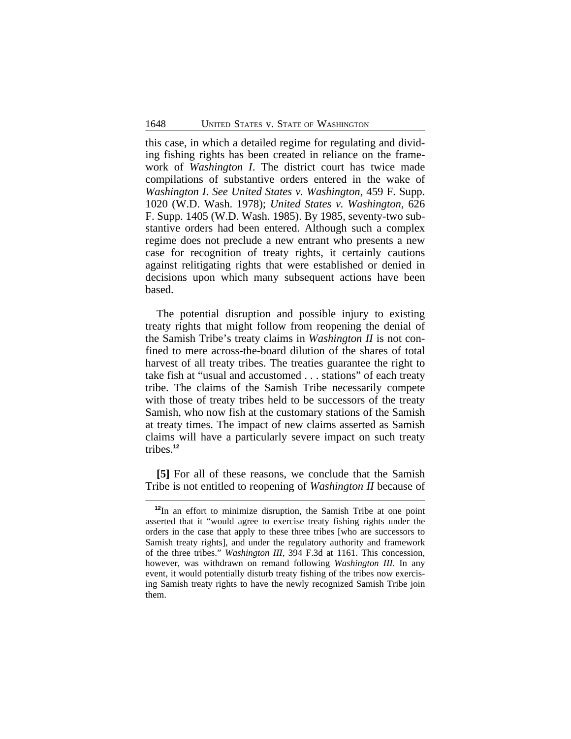this case, in which a detailed regime for regulating and dividing fishing rights has been created in reliance on the framework of *Washington I*. The district court has twice made compilations of substantive orders entered in the wake of *Washington I*. *See United States v. Washington*, 459 F. Supp. 1020 (W.D. Wash. 1978); *United States v. Washington*, 626 F. Supp. 1405 (W.D. Wash. 1985). By 1985, seventy-two substantive orders had been entered. Although such a complex regime does not preclude a new entrant who presents a new case for recognition of treaty rights, it certainly cautions against relitigating rights that were established or denied in decisions upon which many subsequent actions have been based.

The potential disruption and possible injury to existing treaty rights that might follow from reopening the denial of the Samish Tribe's treaty claims in *Washington II* is not confined to mere across-the-board dilution of the shares of total harvest of all treaty tribes. The treaties guarantee the right to take fish at "usual and accustomed . . . stations" of each treaty tribe. The claims of the Samish Tribe necessarily compete with those of treaty tribes held to be successors of the treaty Samish, who now fish at the customary stations of the Samish at treaty times. The impact of new claims asserted as Samish claims will have a particularly severe impact on such treaty tribes.**<sup>12</sup>**

**[5]** For all of these reasons, we conclude that the Samish Tribe is not entitled to reopening of *Washington II* because of

**<sup>12</sup>**In an effort to minimize disruption, the Samish Tribe at one point asserted that it "would agree to exercise treaty fishing rights under the orders in the case that apply to these three tribes [who are successors to Samish treaty rights], and under the regulatory authority and framework of the three tribes." *Washington III*, 394 F.3d at 1161. This concession, however, was withdrawn on remand following *Washington III*. In any event, it would potentially disturb treaty fishing of the tribes now exercising Samish treaty rights to have the newly recognized Samish Tribe join them.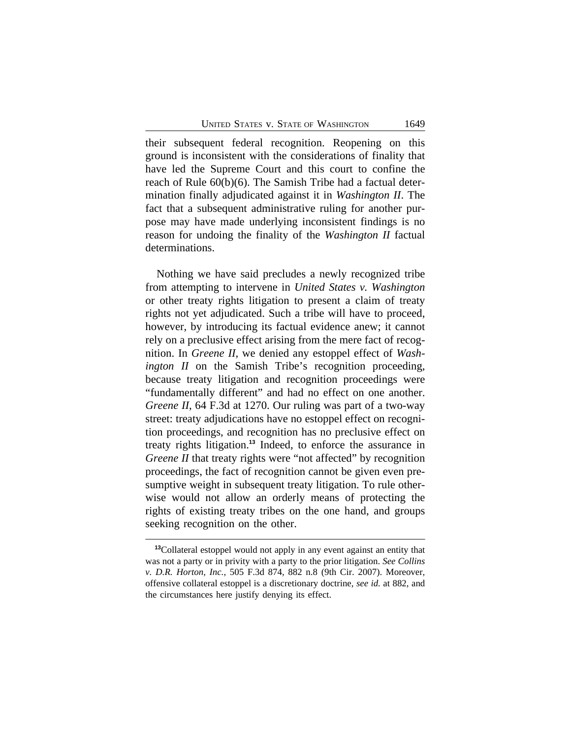their subsequent federal recognition. Reopening on this ground is inconsistent with the considerations of finality that have led the Supreme Court and this court to confine the reach of Rule 60(b)(6). The Samish Tribe had a factual determination finally adjudicated against it in *Washington II*. The fact that a subsequent administrative ruling for another purpose may have made underlying inconsistent findings is no reason for undoing the finality of the *Washington II* factual determinations.

Nothing we have said precludes a newly recognized tribe from attempting to intervene in *United States v. Washington* or other treaty rights litigation to present a claim of treaty rights not yet adjudicated. Such a tribe will have to proceed, however, by introducing its factual evidence anew; it cannot rely on a preclusive effect arising from the mere fact of recognition. In *Greene II*, we denied any estoppel effect of *Washington II* on the Samish Tribe's recognition proceeding, because treaty litigation and recognition proceedings were "fundamentally different" and had no effect on one another. *Greene II*, 64 F.3d at 1270. Our ruling was part of a two-way street: treaty adjudications have no estoppel effect on recognition proceedings, and recognition has no preclusive effect on treaty rights litigation.**<sup>13</sup>** Indeed, to enforce the assurance in *Greene II* that treaty rights were "not affected" by recognition proceedings, the fact of recognition cannot be given even presumptive weight in subsequent treaty litigation. To rule otherwise would not allow an orderly means of protecting the rights of existing treaty tribes on the one hand, and groups seeking recognition on the other.

**<sup>13</sup>**Collateral estoppel would not apply in any event against an entity that was not a party or in privity with a party to the prior litigation. *See Collins v. D.R. Horton, Inc.*, 505 F.3d 874, 882 n.8 (9th Cir. 2007). Moreover, offensive collateral estoppel is a discretionary doctrine, *see id.* at 882, and the circumstances here justify denying its effect.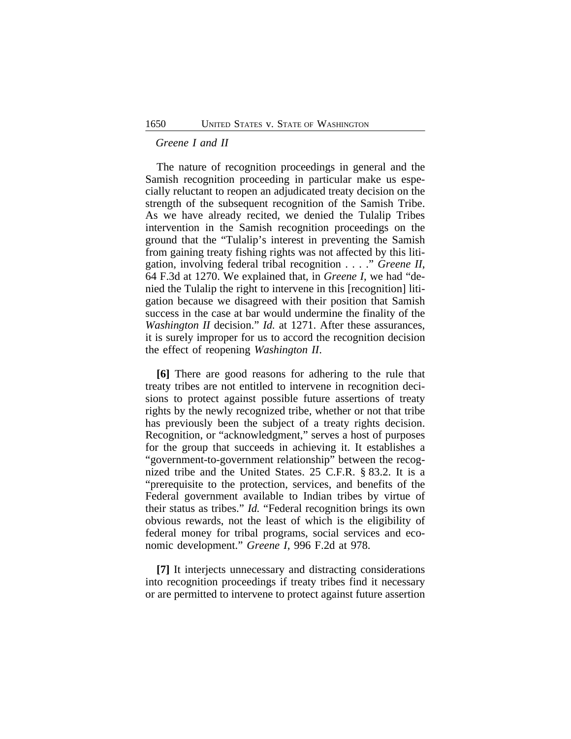#### *Greene I and II*

The nature of recognition proceedings in general and the Samish recognition proceeding in particular make us especially reluctant to reopen an adjudicated treaty decision on the strength of the subsequent recognition of the Samish Tribe. As we have already recited, we denied the Tulalip Tribes intervention in the Samish recognition proceedings on the ground that the "Tulalip's interest in preventing the Samish from gaining treaty fishing rights was not affected by this litigation, involving federal tribal recognition . . . ." *Greene II*, 64 F.3d at 1270. We explained that, in *Greene I*, we had "denied the Tulalip the right to intervene in this [recognition] litigation because we disagreed with their position that Samish success in the case at bar would undermine the finality of the *Washington II* decision." *Id.* at 1271. After these assurances, it is surely improper for us to accord the recognition decision the effect of reopening *Washington II*.

**[6]** There are good reasons for adhering to the rule that treaty tribes are not entitled to intervene in recognition decisions to protect against possible future assertions of treaty rights by the newly recognized tribe, whether or not that tribe has previously been the subject of a treaty rights decision. Recognition, or "acknowledgment," serves a host of purposes for the group that succeeds in achieving it. It establishes a "government-to-government relationship" between the recognized tribe and the United States. 25 C.F.R. § 83.2. It is a "prerequisite to the protection, services, and benefits of the Federal government available to Indian tribes by virtue of their status as tribes." *Id.* "Federal recognition brings its own obvious rewards, not the least of which is the eligibility of federal money for tribal programs, social services and economic development." *Greene I*, 996 F.2d at 978.

**[7]** It interjects unnecessary and distracting considerations into recognition proceedings if treaty tribes find it necessary or are permitted to intervene to protect against future assertion